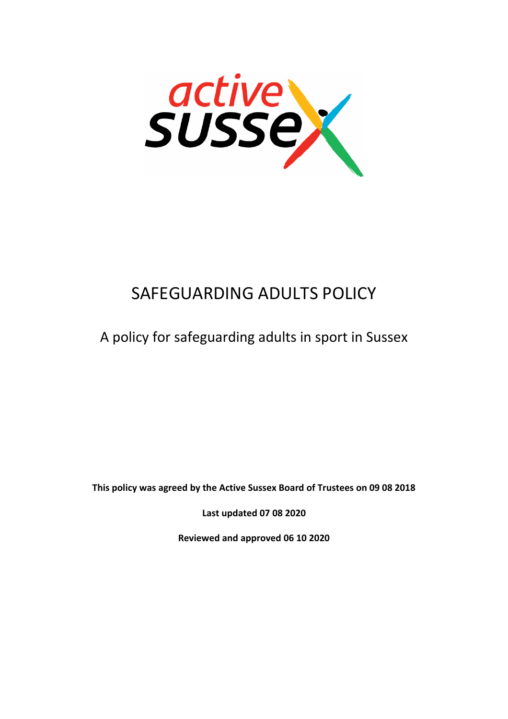

# SAFEGUARDING ADULTS POLICY

# A policy for safeguarding adults in sport in Sussex

**This policy was agreed by the Active Sussex Board of Trustees on 09 08 2018**

**Last updated 07 08 2020**

**Reviewed and approved 06 10 2020**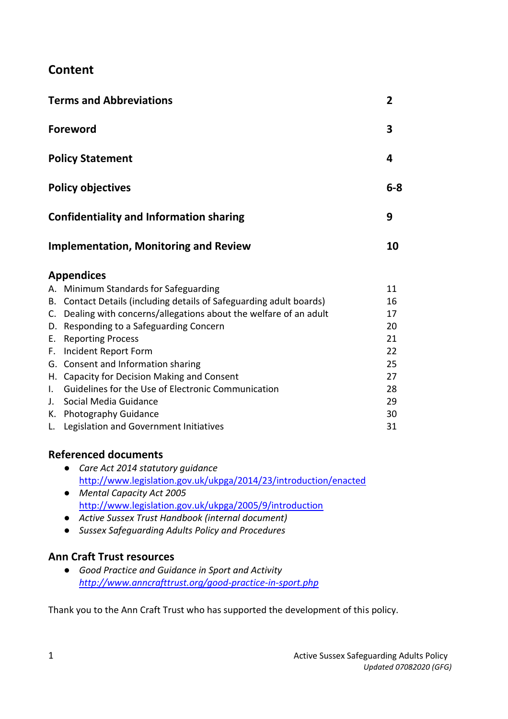### **Content**

|                             | <b>Terms and Abbreviations</b>                                              | $\overline{2}$ |
|-----------------------------|-----------------------------------------------------------------------------|----------------|
|                             | <b>Foreword</b>                                                             | 3              |
|                             | <b>Policy Statement</b>                                                     | 4              |
|                             | <b>Policy objectives</b>                                                    | $6 - 8$        |
|                             | <b>Confidentiality and Information sharing</b>                              | 9              |
|                             | <b>Implementation, Monitoring and Review</b>                                | 10             |
|                             | <b>Appendices</b>                                                           |                |
|                             | A. Minimum Standards for Safeguarding                                       | 11             |
|                             | B. Contact Details (including details of Safeguarding adult boards)         | 16             |
|                             | C. Dealing with concerns/allegations about the welfare of an adult          | 17             |
|                             | D. Responding to a Safeguarding Concern                                     | 20             |
| E.                          | <b>Reporting Process</b>                                                    | 21             |
|                             | F. Incident Report Form                                                     | 22             |
|                             | G. Consent and Information sharing                                          | 25             |
|                             | H. Capacity for Decision Making and Consent                                 | 27             |
| $\mathbf{L}$<br>$J_{\star}$ | Guidelines for the Use of Electronic Communication<br>Social Media Guidance | 28             |
|                             |                                                                             | 29<br>30       |
|                             | K. Photography Guidance<br>L. Legislation and Government Initiatives        | 31             |
|                             |                                                                             |                |

### **Referenced documents**

- *Care Act 2014 statutory guidance*  <http://www.legislation.gov.uk/ukpga/2014/23/introduction/enacted>
- *Mental Capacity Act 2005* <http://www.legislation.gov.uk/ukpga/2005/9/introduction>
- *Active Sussex Trust Handbook (internal document)*
- *Sussex Safeguarding Adults Policy and Procedures*

### **Ann Craft Trust resources**

● *Good Practice and Guidance in Sport and Activity <http://www.anncrafttrust.org/good-practice-in-sport.php>*

Thank you to the Ann Craft Trust who has supported the development of this policy.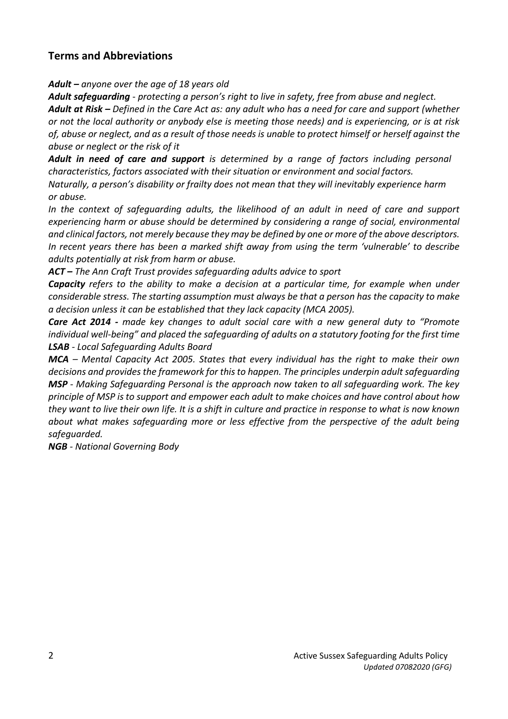### **Terms and Abbreviations**

*Adult – anyone over the age of 18 years old*

*Adult safeguarding* - *protecting a person's right to live in safety, free from abuse and neglect.*

*Adult at Risk – Defined in the Care Act as: any adult who has a need for care and support (whether or not the local authority or anybody else is meeting those needs) and is experiencing, or is at risk of, abuse or neglect, and as a result of those needs is unable to protect himself or herself against the abuse or neglect or the risk of it*

*Adult in need of care and support is determined by a range of factors including personal characteristics, factors associated with their situation or environment and social factors.*

*Naturally, a person's disability or frailty does not mean that they will inevitably experience harm or abuse.*

*In the context of safeguarding adults, the likelihood of an adult in need of care and support experiencing harm or abuse should be determined by considering a range of social, environmental and clinical factors, not merely because they may be defined by one or more of the above descriptors. In recent years there has been a marked shift away from using the term 'vulnerable' to describe adults potentially at risk from harm or abuse.* 

*ACT – The Ann Craft Trust provides safeguarding adults advice to sport*

*Capacity refers to the ability to make a decision at a particular time, for example when under considerable stress. The starting assumption must always be that a person has the capacity to make a decision unless it can be established that they lack capacity (MCA 2005).* 

*Care Act 2014 - made key changes to adult social care with a new general duty to "Promote individual well-being" and placed the safeguarding of adults on a statutory footing for the first time LSAB - Local Safeguarding Adults Board*

*MCA – Mental Capacity Act 2005. States that every individual has the right to make their own decisions and provides the framework for this to happen. The principles underpin adult safeguarding MSP - Making Safeguarding Personal is the approach now taken to all safeguarding work. The key principle of MSP is to support and empower each adult to make choices and have control about how they want to live their own life. It is a shift in culture and practice in response to what is now known about what makes safeguarding more or less effective from the perspective of the adult being safeguarded.*

*NGB - National Governing Body*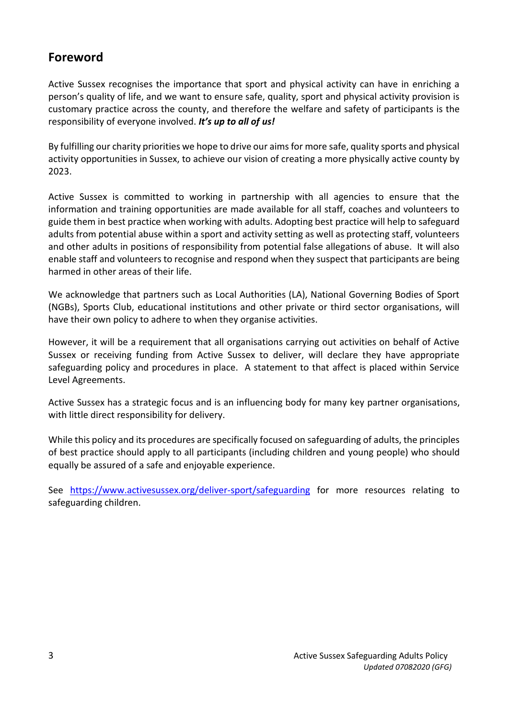### **Foreword**

Active Sussex recognises the importance that sport and physical activity can have in enriching a person's quality of life, and we want to ensure safe, quality, sport and physical activity provision is customary practice across the county, and therefore the welfare and safety of participants is the responsibility of everyone involved. *It's up to all of us!*

By fulfilling our charity priorities we hope to drive our aims for more safe, quality sports and physical activity opportunities in Sussex, to achieve our vision of creating a more physically active county by 2023.

Active Sussex is committed to working in partnership with all agencies to ensure that the information and training opportunities are made available for all staff, coaches and volunteers to guide them in best practice when working with adults. Adopting best practice will help to safeguard adults from potential abuse within a sport and activity setting as well as protecting staff, volunteers and other adults in positions of responsibility from potential false allegations of abuse. It will also enable staff and volunteers to recognise and respond when they suspect that participants are being harmed in other areas of their life.

We acknowledge that partners such as Local Authorities (LA), National Governing Bodies of Sport (NGBs), Sports Club, educational institutions and other private or third sector organisations, will have their own policy to adhere to when they organise activities.

However, it will be a requirement that all organisations carrying out activities on behalf of Active Sussex or receiving funding from Active Sussex to deliver, will declare they have appropriate safeguarding policy and procedures in place. A statement to that affect is placed within Service Level Agreements.

Active Sussex has a strategic focus and is an influencing body for many key partner organisations, with little direct responsibility for delivery.

While this policy and its procedures are specifically focused on safeguarding of adults, the principles of best practice should apply to all participants (including children and young people) who should equally be assured of a safe and enjoyable experience.

See <https://www.activesussex.org/deliver-sport/safeguarding> for more resources relating to safeguarding children.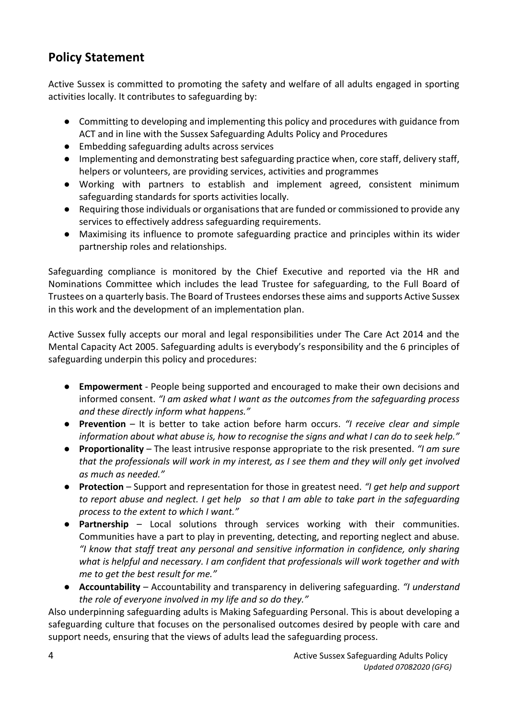## **Policy Statement**

Active Sussex is committed to promoting the safety and welfare of all adults engaged in sporting activities locally. It contributes to safeguarding by:

- Committing to developing and implementing this policy and procedures with guidance from ACT and in line with the Sussex Safeguarding Adults Policy and Procedures
- Embedding safeguarding adults across services
- Implementing and demonstrating best safeguarding practice when, core staff, delivery staff, helpers or volunteers, are providing services, activities and programmes
- Working with partners to establish and implement agreed, consistent minimum safeguarding standards for sports activities locally.
- Requiring those individuals or organisations that are funded or commissioned to provide any services to effectively address safeguarding requirements.
- Maximising its influence to promote safeguarding practice and principles within its wider partnership roles and relationships.

Safeguarding compliance is monitored by the Chief Executive and reported via the HR and Nominations Committee which includes the lead Trustee for safeguarding, to the Full Board of Trustees on a quarterly basis. The Board of Trustees endorses these aims and supports Active Sussex in this work and the development of an implementation plan.

Active Sussex fully accepts our moral and legal responsibilities under The Care Act 2014 and the Mental Capacity Act 2005. Safeguarding adults is everybody's responsibility and the 6 principles of safeguarding underpin this policy and procedures:

- **Empowerment** People being supported and encouraged to make their own decisions and informed consent. *"I am asked what I want as the outcomes from the safeguarding process and these directly inform what happens."*
- **Prevention**  It is better to take action before harm occurs. *"I receive clear and simple information about what abuse is, how to recognise the signs and what I can do to seek help."*
- **Proportionality**  The least intrusive response appropriate to the risk presented. *"I am sure that the professionals will work in my interest, as I see them and they will only get involved as much as needed."*
- **Protection** Support and representation for those in greatest need. *"I get help and support to report abuse and neglect. I get help so that I am able to take part in the safeguarding process to the extent to which I want."*
- **Partnership** Local solutions through services working with their communities. Communities have a part to play in preventing, detecting, and reporting neglect and abuse. *"I know that staff treat any personal and sensitive information in confidence, only sharing what is helpful and necessary. I am confident that professionals will work together and with me to get the best result for me."*
- **Accountability**  Accountability and transparency in delivering safeguarding. *"I understand the role of everyone involved in my life and so do they."*

Also underpinning safeguarding adults is Making Safeguarding Personal. This is about developing a safeguarding culture that focuses on the personalised outcomes desired by people with care and support needs, ensuring that the views of adults lead the safeguarding process.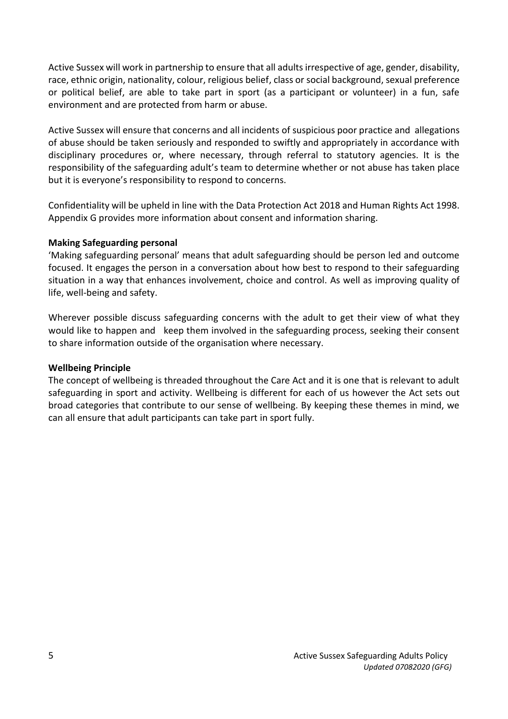Active Sussex will work in partnership to ensure that all adults irrespective of age, gender, disability, race, ethnic origin, nationality, colour, religious belief, class or social background, sexual preference or political belief, are able to take part in sport (as a participant or volunteer) in a fun, safe environment and are protected from harm or abuse.

Active Sussex will ensure that concerns and all incidents of suspicious poor practice and allegations of abuse should be taken seriously and responded to swiftly and appropriately in accordance with disciplinary procedures or, where necessary, through referral to statutory agencies. It is the responsibility of the safeguarding adult's team to determine whether or not abuse has taken place but it is everyone's responsibility to respond to concerns.

Confidentiality will be upheld in line with the Data Protection Act 2018 and Human Rights Act 1998. Appendix G provides more information about consent and information sharing.

#### **Making Safeguarding personal**

'Making safeguarding personal' means that adult safeguarding should be person led and outcome focused. It engages the person in a conversation about how best to respond to their safeguarding situation in a way that enhances involvement, choice and control. As well as improving quality of life, well-being and safety.

Wherever possible discuss safeguarding concerns with the adult to get their view of what they would like to happen and keep them involved in the safeguarding process, seeking their consent to share information outside of the organisation where necessary.

#### **Wellbeing Principle**

The concept of wellbeing is threaded throughout the Care Act and it is one that is relevant to adult safeguarding in sport and activity. Wellbeing is different for each of us however the Act sets out broad categories that contribute to our sense of wellbeing. By keeping these themes in mind, we can all ensure that adult participants can take part in sport fully.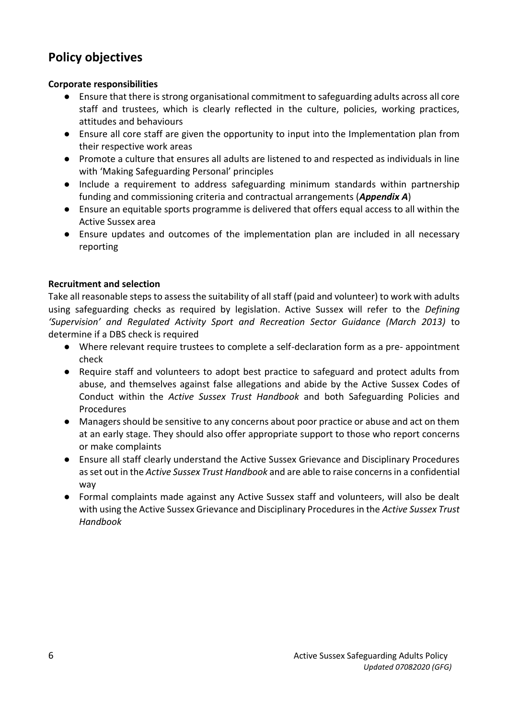### **Policy objectives**

#### **Corporate responsibilities**

- Ensure that there is strong organisational commitment to safeguarding adults across all core staff and trustees, which is clearly reflected in the culture, policies, working practices, attitudes and behaviours
- Ensure all core staff are given the opportunity to input into the Implementation plan from their respective work areas
- Promote a culture that ensures all adults are listened to and respected as individuals in line with 'Making Safeguarding Personal' principles
- Include a requirement to address safeguarding minimum standards within partnership funding and commissioning criteria and contractual arrangements (*Appendix A*)
- Ensure an equitable sports programme is delivered that offers equal access to all within the Active Sussex area
- Ensure updates and outcomes of the implementation plan are included in all necessary reporting

#### **Recruitment and selection**

Take all reasonable steps to assess the suitability of all staff (paid and volunteer) to work with adults using safeguarding checks as required by legislation. Active Sussex will refer to the *Defining 'Supervision' and Regulated Activity Sport and Recreation Sector Guidance (March 2013)* to determine if a DBS check is required

- Where relevant require trustees to complete a self-declaration form as a pre- appointment check
- Require staff and volunteers to adopt best practice to safeguard and protect adults from abuse, and themselves against false allegations and abide by the Active Sussex Codes of Conduct within the *Active Sussex Trust Handbook* and both Safeguarding Policies and Procedures
- Managers should be sensitive to any concerns about poor practice or abuse and act on them at an early stage. They should also offer appropriate support to those who report concerns or make complaints
- Ensure all staff clearly understand the Active Sussex Grievance and Disciplinary Procedures as set out in the *Active Sussex Trust Handbook* and are able to raise concerns in a confidential way
- Formal complaints made against any Active Sussex staff and volunteers, will also be dealt with using the Active Sussex Grievance and Disciplinary Procedures in the *Active Sussex Trust Handbook*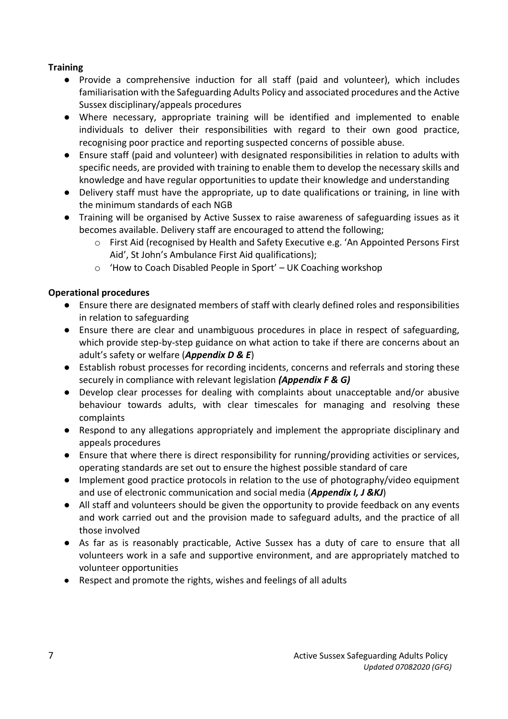#### **Training**

- Provide a comprehensive induction for all staff (paid and volunteer), which includes familiarisation with the Safeguarding Adults Policy and associated procedures and the Active Sussex disciplinary/appeals procedures
- Where necessary, appropriate training will be identified and implemented to enable individuals to deliver their responsibilities with regard to their own good practice, recognising poor practice and reporting suspected concerns of possible abuse.
- Ensure staff (paid and volunteer) with designated responsibilities in relation to adults with specific needs, are provided with training to enable them to develop the necessary skills and knowledge and have regular opportunities to update their knowledge and understanding
- Delivery staff must have the appropriate, up to date qualifications or training, in line with the minimum standards of each NGB
- Training will be organised by Active Sussex to raise awareness of safeguarding issues as it becomes available. Delivery staff are encouraged to attend the following;
	- o First Aid (recognised by Health and Safety Executive e.g. 'An Appointed Persons First Aid', St John's Ambulance First Aid qualifications);
	- o 'How to Coach Disabled People in Sport' UK Coaching workshop

### **Operational procedures**

- Ensure there are designated members of staff with clearly defined roles and responsibilities in relation to safeguarding
- Ensure there are clear and unambiguous procedures in place in respect of safeguarding, which provide step-by-step guidance on what action to take if there are concerns about an adult's safety or welfare (*Appendix D & E*)
- Establish robust processes for recording incidents, concerns and referrals and storing these securely in compliance with relevant legislation *(Appendix F & G)*
- Develop clear processes for dealing with complaints about unacceptable and/or abusive behaviour towards adults, with clear timescales for managing and resolving these complaints
- Respond to any allegations appropriately and implement the appropriate disciplinary and appeals procedures
- Ensure that where there is direct responsibility for running/providing activities or services, operating standards are set out to ensure the highest possible standard of care
- Implement good practice protocols in relation to the use of photography/video equipment and use of electronic communication and social media (*Appendix I, J &KJ*)
- All staff and volunteers should be given the opportunity to provide feedback on any events and work carried out and the provision made to safeguard adults, and the practice of all those involved
- As far as is reasonably practicable, Active Sussex has a duty of care to ensure that all volunteers work in a safe and supportive environment, and are appropriately matched to volunteer opportunities
- Respect and promote the rights, wishes and feelings of all adults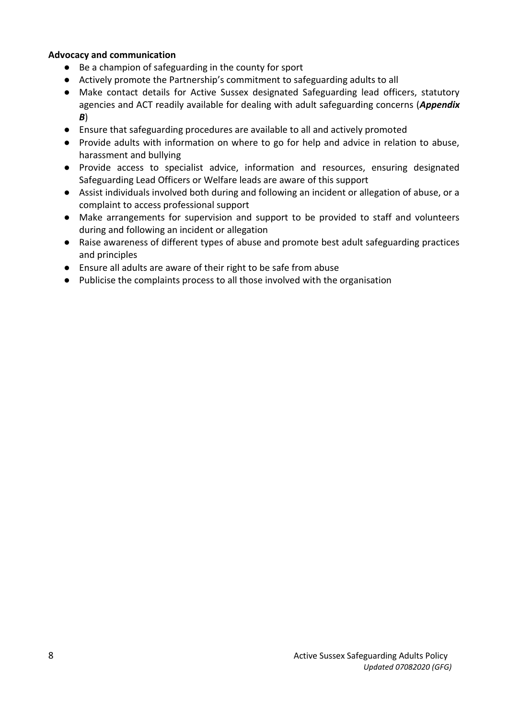#### **Advocacy and communication**

- Be a champion of safeguarding in the county for sport
- Actively promote the Partnership's commitment to safeguarding adults to all
- Make contact details for Active Sussex designated Safeguarding lead officers, statutory agencies and ACT readily available for dealing with adult safeguarding concerns (*Appendix B*)
- Ensure that safeguarding procedures are available to all and actively promoted
- Provide adults with information on where to go for help and advice in relation to abuse, harassment and bullying
- Provide access to specialist advice, information and resources, ensuring designated Safeguarding Lead Officers or Welfare leads are aware of this support
- Assist individuals involved both during and following an incident or allegation of abuse, or a complaint to access professional support
- Make arrangements for supervision and support to be provided to staff and volunteers during and following an incident or allegation
- Raise awareness of different types of abuse and promote best adult safeguarding practices and principles
- Ensure all adults are aware of their right to be safe from abuse
- Publicise the complaints process to all those involved with the organisation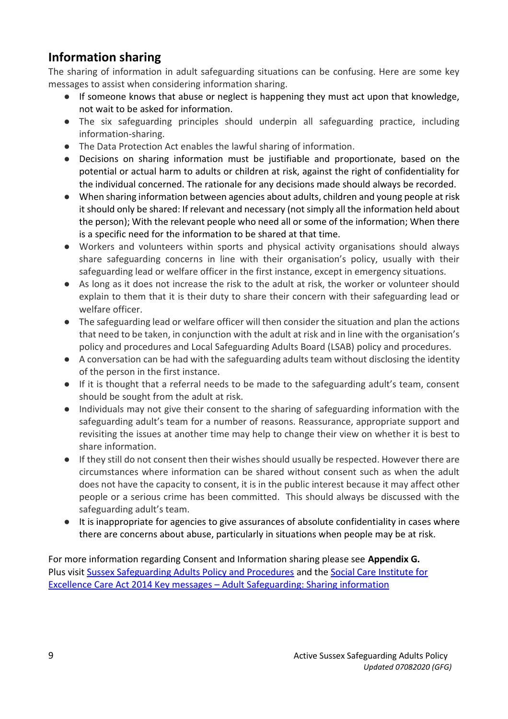# **Information sharing**

The sharing of information in adult safeguarding situations can be confusing. Here are some key messages to assist when considering information sharing.

- If someone knows that abuse or neglect is happening they must act upon that knowledge, not wait to be asked for information.
- The six safeguarding principles should underpin all safeguarding practice, including information-sharing.
- The Data Protection Act enables the lawful sharing of information.
- Decisions on sharing information must be justifiable and proportionate, based on the potential or actual harm to adults or children at risk, against the right of confidentiality for the individual concerned. The rationale for any decisions made should always be recorded.
- When sharing information between agencies about adults, children and young people at risk it should only be shared: If relevant and necessary (not simply all the information held about the person); With the relevant people who need all or some of the information; When there is a specific need for the information to be shared at that time.
- Workers and volunteers within sports and physical activity organisations should always share safeguarding concerns in line with their organisation's policy, usually with their safeguarding lead or welfare officer in the first instance, except in emergency situations.
- As long as it does not increase the risk to the adult at risk, the worker or volunteer should explain to them that it is their duty to share their concern with their safeguarding lead or welfare officer.
- The safeguarding lead or welfare officer will then consider the situation and plan the actions that need to be taken, in conjunction with the adult at risk and in line with the organisation's policy and procedures and Local Safeguarding Adults Board (LSAB) policy and procedures.
- A conversation can be had with the safeguarding adults team without disclosing the identity of the person in the first instance.
- If it is thought that a referral needs to be made to the safeguarding adult's team, consent should be sought from the adult at risk.
- Individuals may not give their consent to the sharing of safeguarding information with the safeguarding adult's team for a number of reasons. Reassurance, appropriate support and revisiting the issues at another time may help to change their view on whether it is best to share information.
- If they still do not consent then their wishes should usually be respected. However there are circumstances where information can be shared without consent such as when the adult does not have the capacity to consent, it is in the public interest because it may affect other people or a serious crime has been committed. This should always be discussed with the safeguarding adult's team.
- It is inappropriate for agencies to give assurances of absolute confidentiality in cases where there are concerns about abuse, particularly in situations when people may be at risk.

For more information regarding Consent and Information sharing please see **Appendix G.**  Plus visit [Sussex Safeguarding Adults Policy and Procedures](http://sussexsafeguardingadults.procedures.org.uk/) and the [Social Care Institute for](https://www.scie.org.uk/care-act-2014/safeguarding-adults/sharing-information/keymessages.asp)  Excellence Care Act 2014 Key messages – [Adult Safeguarding: Sharing information](https://www.scie.org.uk/care-act-2014/safeguarding-adults/sharing-information/keymessages.asp)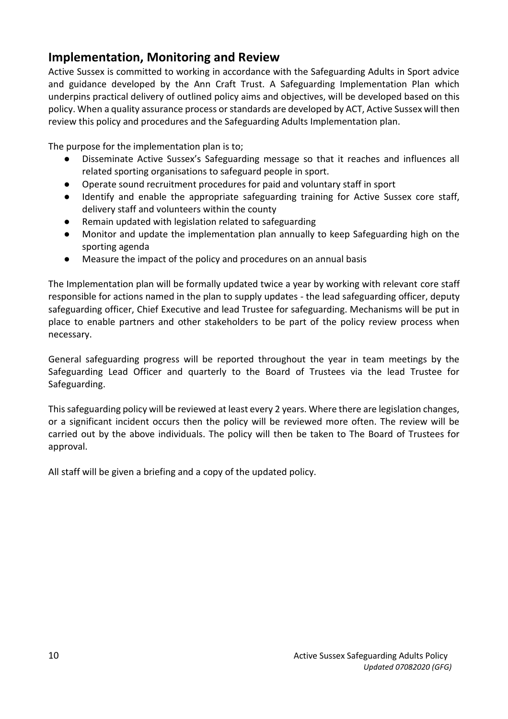### **Implementation, Monitoring and Review**

Active Sussex is committed to working in accordance with the Safeguarding Adults in Sport advice and guidance developed by the Ann Craft Trust. A Safeguarding Implementation Plan which underpins practical delivery of outlined policy aims and objectives, will be developed based on this policy. When a quality assurance process or standards are developed by ACT, Active Sussex will then review this policy and procedures and the Safeguarding Adults Implementation plan.

The purpose for the implementation plan is to;

- **●** Disseminate Active Sussex's Safeguarding message so that it reaches and influences all related sporting organisations to safeguard people in sport.
- **●** Operate sound recruitment procedures for paid and voluntary staff in sport
- **●** Identify and enable the appropriate safeguarding training for Active Sussex core staff, delivery staff and volunteers within the county
- **●** Remain updated with legislation related to safeguarding
- **●** Monitor and update the implementation plan annually to keep Safeguarding high on the sporting agenda
- **●** Measure the impact of the policy and procedures on an annual basis

The Implementation plan will be formally updated twice a year by working with relevant core staff responsible for actions named in the plan to supply updates - the lead safeguarding officer, deputy safeguarding officer, Chief Executive and lead Trustee for safeguarding. Mechanisms will be put in place to enable partners and other stakeholders to be part of the policy review process when necessary.

General safeguarding progress will be reported throughout the year in team meetings by the Safeguarding Lead Officer and quarterly to the Board of Trustees via the lead Trustee for Safeguarding.

This safeguarding policy will be reviewed at least every 2 years. Where there are legislation changes, or a significant incident occurs then the policy will be reviewed more often. The review will be carried out by the above individuals. The policy will then be taken to The Board of Trustees for approval.

All staff will be given a briefing and a copy of the updated policy.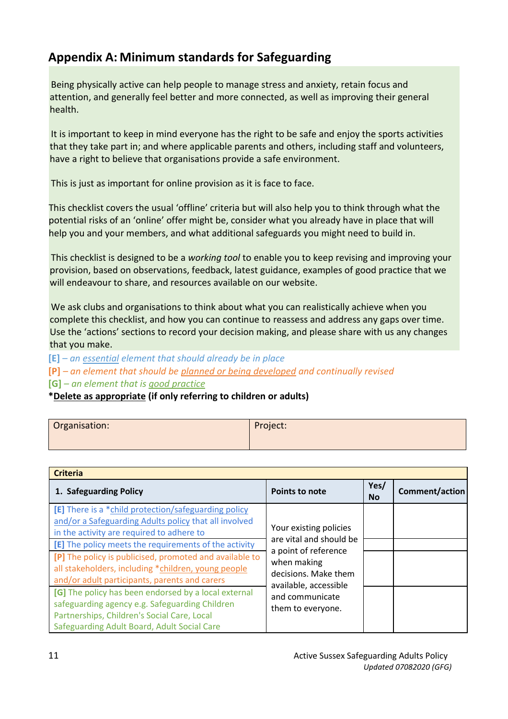### **Appendix A: Minimum standards for Safeguarding**

Being physically active can help people to manage stress and anxiety, retain focus and attention, and generally feel better and more connected, as well as improving their general health.

It is important to keep in mind everyone has the right to be safe and enjoy the sports activities that they take part in; and where applicable parents and others, including staff and volunteers, have a right to believe that organisations provide a safe environment.

This is just as important for online provision as it is face to face.

This checklist covers the usual 'offline' criteria but will also help you to think through what the potential risks of an 'online' offer might be, consider what you already have in place that will help you and your members, and what additional safeguards you might need to build in.

This checklist is designed to be a *working tool* to enable you to keep revising and improving your provision, based on observations, feedback, latest guidance, examples of good practice that we will endeavour to share, and resources available on our website.

We ask clubs and organisations to think about what you can realistically achieve when you complete this checklist, and how you can continue to reassess and address any gaps over time. Use the 'actions' sections to record your decision making, and please share with us any changes that you make.

**[E]** *– an essential element that should already be in place*

**[P]** *– an element that should be planned or being developed and continually revised*

**[G]** *– an element that is good practice*

**\*Delete as appropriate (if only referring to children or adults)**

| Organisation: | Project: |
|---------------|----------|
|               |          |

| <b>Criteria</b>                                                                                                                                                                                      |                                                                                                                 |                   |                |
|------------------------------------------------------------------------------------------------------------------------------------------------------------------------------------------------------|-----------------------------------------------------------------------------------------------------------------|-------------------|----------------|
| 1. Safeguarding Policy                                                                                                                                                                               | <b>Points to note</b>                                                                                           | Yes/<br><b>No</b> | Comment/action |
| [E] There is a *child protection/safeguarding policy<br>and/or a Safeguarding Adults policy that all involved<br>in the activity are required to adhere to                                           | Your existing policies                                                                                          |                   |                |
| [E] The policy meets the requirements of the activity                                                                                                                                                | are vital and should be<br>a point of reference<br>when making<br>decisions. Make them<br>available, accessible |                   |                |
| [P] The policy is publicised, promoted and available to<br>all stakeholders, including *children, young people<br>and/or adult participants, parents and carers                                      |                                                                                                                 |                   |                |
| [G] The policy has been endorsed by a local external<br>safeguarding agency e.g. Safeguarding Children<br>Partnerships, Children's Social Care, Local<br>Safeguarding Adult Board, Adult Social Care | and communicate<br>them to everyone.                                                                            |                   |                |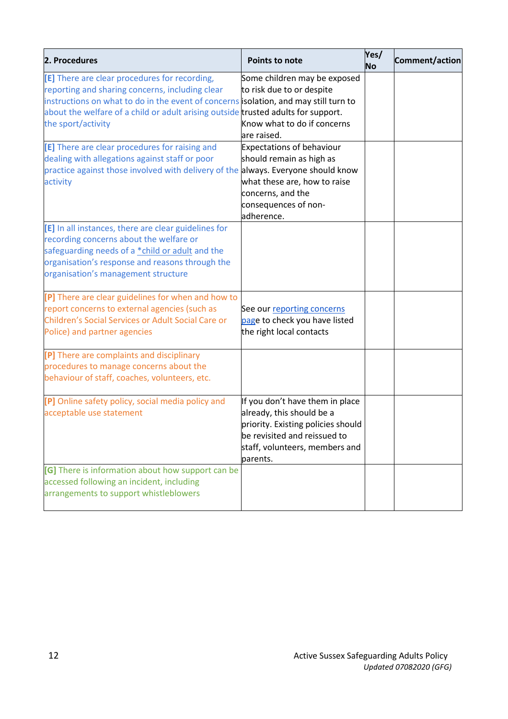| 2. Procedures                                                                                                                                                                                                                                                                                       | <b>Points to note</b>                                                                                                                                                            | Yes/<br><b>No</b> | Comment/action |
|-----------------------------------------------------------------------------------------------------------------------------------------------------------------------------------------------------------------------------------------------------------------------------------------------------|----------------------------------------------------------------------------------------------------------------------------------------------------------------------------------|-------------------|----------------|
| [E] There are clear procedures for recording,<br>reporting and sharing concerns, including clear<br>instructions on what to do in the event of concerns isolation, and may still turn to<br>about the welfare of a child or adult arising outside trusted adults for support.<br>the sport/activity | Some children may be exposed<br>to risk due to or despite<br>Know what to do if concerns<br>are raised.                                                                          |                   |                |
| [E] There are clear procedures for raising and<br>dealing with allegations against staff or poor<br>practice against those involved with delivery of the always. Everyone should know<br>activity                                                                                                   | <b>Expectations of behaviour</b><br>should remain as high as<br>what these are, how to raise<br>concerns, and the<br>consequences of non-<br>adherence.                          |                   |                |
| [E] In all instances, there are clear guidelines for<br>recording concerns about the welfare or<br>safeguarding needs of a *child or adult and the<br>organisation's response and reasons through the<br>organisation's management structure                                                        |                                                                                                                                                                                  |                   |                |
| [P] There are clear guidelines for when and how to<br>report concerns to external agencies (such as<br>Children's Social Services or Adult Social Care or<br>Police) and partner agencies                                                                                                           | See our reporting concerns<br>page to check you have listed<br>the right local contacts                                                                                          |                   |                |
| [P] There are complaints and disciplinary<br>procedures to manage concerns about the<br>behaviour of staff, coaches, volunteers, etc.                                                                                                                                                               |                                                                                                                                                                                  |                   |                |
| [P] Online safety policy, social media policy and<br>acceptable use statement                                                                                                                                                                                                                       | If you don't have them in place<br>already, this should be a<br>priority. Existing policies should<br>be revisited and reissued to<br>staff, volunteers, members and<br>parents. |                   |                |
| [G] There is information about how support can be<br>accessed following an incident, including<br>arrangements to support whistleblowers                                                                                                                                                            |                                                                                                                                                                                  |                   |                |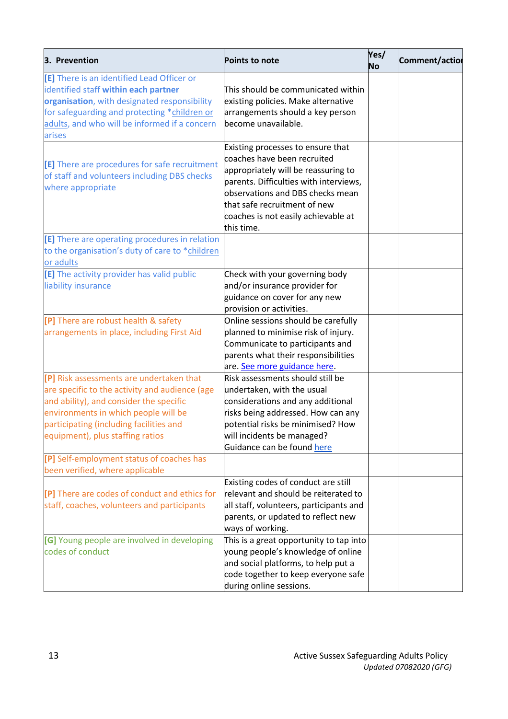| 3. Prevention                                                                                                                                                                                                                                                | Points to note                                                                                                                                                                                                                                                             | Yes/<br><b>No</b> | Comment/action |
|--------------------------------------------------------------------------------------------------------------------------------------------------------------------------------------------------------------------------------------------------------------|----------------------------------------------------------------------------------------------------------------------------------------------------------------------------------------------------------------------------------------------------------------------------|-------------------|----------------|
| [E] There is an identified Lead Officer or<br>identified staff within each partner<br>organisation, with designated responsibility<br>for safeguarding and protecting *children or<br>adults, and who will be informed if a concern<br>arises                | This should be communicated within<br>existing policies. Make alternative<br>arrangements should a key person<br>become unavailable.                                                                                                                                       |                   |                |
| [E] There are procedures for safe recruitment<br>of staff and volunteers including DBS checks<br>where appropriate                                                                                                                                           | Existing processes to ensure that<br>coaches have been recruited<br>appropriately will be reassuring to<br>parents. Difficulties with interviews,<br>observations and DBS checks mean<br>that safe recruitment of new<br>coaches is not easily achievable at<br>this time. |                   |                |
| [E] There are operating procedures in relation<br>to the organisation's duty of care to *children<br>or adults                                                                                                                                               |                                                                                                                                                                                                                                                                            |                   |                |
| [E] The activity provider has valid public<br>liability insurance                                                                                                                                                                                            | Check with your governing body<br>and/or insurance provider for<br>guidance on cover for any new<br>provision or activities.                                                                                                                                               |                   |                |
| [P] There are robust health & safety<br>arrangements in place, including First Aid                                                                                                                                                                           | Online sessions should be carefully<br>planned to minimise risk of injury.<br>Communicate to participants and<br>parents what their responsibilities<br>are. See more guidance here.                                                                                       |                   |                |
| [P] Risk assessments are undertaken that<br>are specific to the activity and audience (age<br>and ability), and consider the specific<br>environments in which people will be<br>participating (including facilities and<br>equipment), plus staffing ratios | Risk assessments should still be<br>undertaken, with the usual<br>considerations and any additional<br>risks being addressed. How can any<br>potential risks be minimised? How<br>will incidents be managed?<br>Guidance can be found here                                 |                   |                |
| [P] Self-employment status of coaches has<br>been verified, where applicable                                                                                                                                                                                 |                                                                                                                                                                                                                                                                            |                   |                |
| [P] There are codes of conduct and ethics for<br>staff, coaches, volunteers and participants                                                                                                                                                                 | Existing codes of conduct are still<br>relevant and should be reiterated to<br>all staff, volunteers, participants and<br>parents, or updated to reflect new<br>ways of working.                                                                                           |                   |                |
| [G] Young people are involved in developing<br>codes of conduct                                                                                                                                                                                              | This is a great opportunity to tap into<br>young people's knowledge of online<br>and social platforms, to help put a<br>code together to keep everyone safe<br>during online sessions.                                                                                     |                   |                |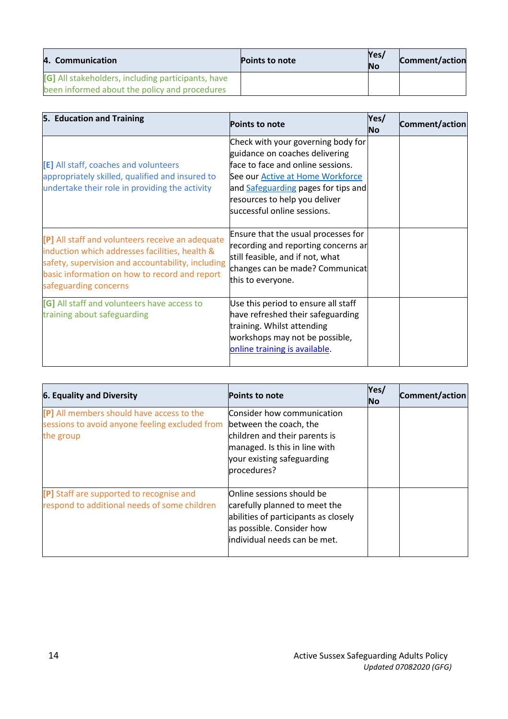| 4. Communication                                                                                    | <b>Points to note</b> | Yes/<br><b>No</b> | <b>Comment/action</b> |
|-----------------------------------------------------------------------------------------------------|-----------------------|-------------------|-----------------------|
| [G] All stakeholders, including participants, have<br>been informed about the policy and procedures |                       |                   |                       |

| 5. Education and Training                                                                                                                                                                                                         | <b>Points to note</b>                                                                                                                                                                                                                                       | Yes/<br>No | Comment/action |
|-----------------------------------------------------------------------------------------------------------------------------------------------------------------------------------------------------------------------------------|-------------------------------------------------------------------------------------------------------------------------------------------------------------------------------------------------------------------------------------------------------------|------------|----------------|
| [E] All staff, coaches and volunteers<br>appropriately skilled, qualified and insured to<br>undertake their role in providing the activity                                                                                        | Check with your governing body for<br>guidance on coaches delivering<br>face to face and online sessions.<br>See our <b>Active at Home Workforce</b><br>and Safeguarding pages for tips and<br>resources to help you deliver<br>successful online sessions. |            |                |
| [P] All staff and volunteers receive an adequate<br>induction which addresses facilities, health &<br>safety, supervision and accountability, including<br>basic information on how to record and report<br>safeguarding concerns | Ensure that the usual processes for<br>recording and reporting concerns ar<br>still feasible, and if not, what<br>changes can be made? Communicat<br>this to everyone.                                                                                      |            |                |
| [G] All staff and volunteers have access to<br>training about safeguarding                                                                                                                                                        | Use this period to ensure all staff<br>have refreshed their safeguarding<br>training. Whilst attending<br>workshops may not be possible,<br>online training is available.                                                                                   |            |                |

| <b>6. Equality and Diversity</b>                                                                         | <b>Points to note</b>                                                                                                                                               | Yes/<br><b>No</b> | Comment/action |
|----------------------------------------------------------------------------------------------------------|---------------------------------------------------------------------------------------------------------------------------------------------------------------------|-------------------|----------------|
| [P] All members should have access to the<br>sessions to avoid anyone feeling excluded from<br>the group | Consider how communication<br>between the coach, the<br>children and their parents is<br>managed. Is this in line with<br>your existing safeguarding<br>procedures? |                   |                |
| [P] Staff are supported to recognise and<br>respond to additional needs of some children                 | Online sessions should be<br>carefully planned to meet the<br>abilities of participants as closely<br>as possible. Consider how<br>individual needs can be met.     |                   |                |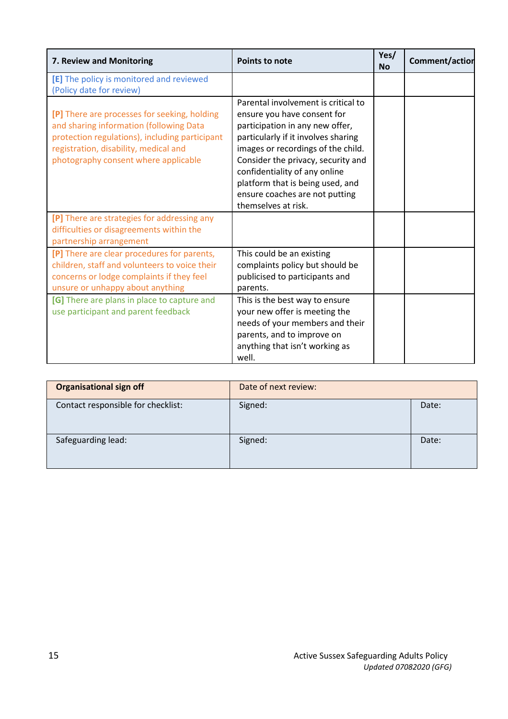| 7. Review and Monitoring                                                                                                                                                                                                   | <b>Points to note</b>                                                                                                                                                                                                                                                                                                                                  | Yes/<br><b>No</b> | Comment/action |
|----------------------------------------------------------------------------------------------------------------------------------------------------------------------------------------------------------------------------|--------------------------------------------------------------------------------------------------------------------------------------------------------------------------------------------------------------------------------------------------------------------------------------------------------------------------------------------------------|-------------------|----------------|
| [E] The policy is monitored and reviewed<br>(Policy date for review)                                                                                                                                                       |                                                                                                                                                                                                                                                                                                                                                        |                   |                |
| [P] There are processes for seeking, holding<br>and sharing information (following Data<br>protection regulations), including participant<br>registration, disability, medical and<br>photography consent where applicable | Parental involvement is critical to<br>ensure you have consent for<br>participation in any new offer,<br>particularly if it involves sharing<br>images or recordings of the child.<br>Consider the privacy, security and<br>confidentiality of any online<br>platform that is being used, and<br>ensure coaches are not putting<br>themselves at risk. |                   |                |
| [P] There are strategies for addressing any<br>difficulties or disagreements within the<br>partnership arrangement                                                                                                         |                                                                                                                                                                                                                                                                                                                                                        |                   |                |
| [P] There are clear procedures for parents,<br>children, staff and volunteers to voice their<br>concerns or lodge complaints if they feel<br>unsure or unhappy about anything                                              | This could be an existing<br>complaints policy but should be<br>publicised to participants and<br>parents.                                                                                                                                                                                                                                             |                   |                |
| [G] There are plans in place to capture and<br>use participant and parent feedback                                                                                                                                         | This is the best way to ensure<br>your new offer is meeting the<br>needs of your members and their<br>parents, and to improve on<br>anything that isn't working as<br>well.                                                                                                                                                                            |                   |                |

| <b>Organisational sign off</b>     | Date of next review: |       |
|------------------------------------|----------------------|-------|
| Contact responsible for checklist: | Signed:              | Date: |
| Safeguarding lead:                 | Signed:              | Date: |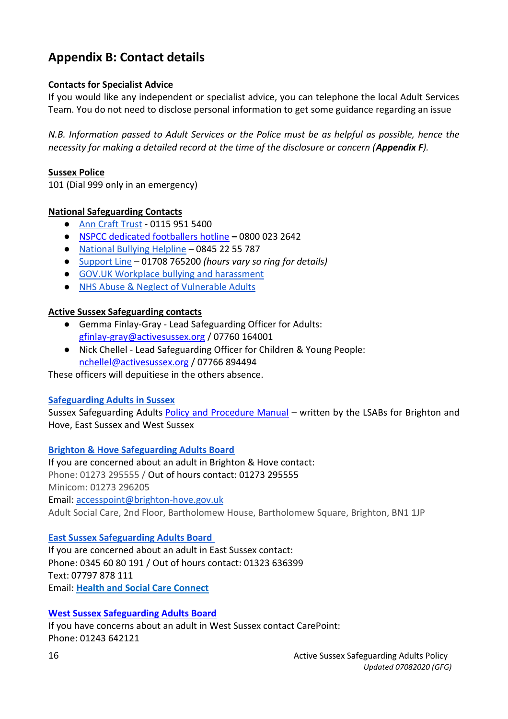## **Appendix B: Contact details**

#### **Contacts for Specialist Advice**

If you would like any independent or specialist advice, you can telephone the local Adult Services Team. You do not need to disclose personal information to get some guidance regarding an issue

*N.B. Information passed to Adult Services or the Police must be as helpful as possible, hence the necessity for making a detailed record at the time of the disclosure or concern (Appendix F).* 

#### **Sussex Police**

101 (Dial 999 only in an emergency)

#### **National Safeguarding Contacts**

- [Ann Craft Trust](http://www.anncrafttrust.org/) 0115 951 5400
- [NSPCC dedicated footballers hotline](https://www.nspcc.org.uk/what-you-can-do/report-abuse/dedicated-helplines/) **–** 0800 023 2642
- [National Bullying Helpline](http://www.nationalbullyinghelpline.co.uk/) 0845 22 55 787
- [Support Line](http://www.supportline.org.uk/index.php) 01708 765200 *(hours vary so ring for details)*
- [GOV.UK Workplace bullying and harassment](https://www.gov.uk/workplace-bullying-and-harassment)
- [NHS Abuse & Neglect of Vulnerable Adults](https://www.nhs.uk/conditions/social-care-and-support/vulnerable-people-abuse-safeguarding/)

#### **Active Sussex Safeguarding contacts**

- Gemma Finlay-Gray Lead Safeguarding Officer for Adults: [gfinlay-gray@activesussex.org](mailto:Gfinlay-gray@activesussex.org) / 07760 164001
- Nick Chellel Lead Safeguarding Officer for Children & Young People: [nchellel@activesussex.org](mailto:nchellel@activesussex.org) / 07766 894494

These officers will depuitiese in the others absence.

#### **[Safeguarding Adults](http://sussexsafeguardingadults.procedures.org.uk/) in Sussex**

Sussex Safeguarding Adults [Policy and Procedure Manual](http://sussexsafeguardingadults.procedures.org.uk/) – written by the LSABs for Brighton and Hove, East Sussex and West Sussex

**[Brighton & Hove Safeguarding Adults Board](http://brightonandhovelscb.org.uk/safeguarding-adults-board/)** 

If you are concerned about an adult in Brighton & Hove contact: Phone: 01273 295555 / Out of hours contact: 01273 295555 Minicom: 01273 296205 Email: [accesspoint@brighton-hove.gov.uk](mailto:accesspoint@brighton-hove.gov.uk)  Adult Social Care, 2nd Floor, Bartholomew House, Bartholomew Square, Brighton, BN1 1JP

#### **[East Sussex Safeguarding Adults Board](http://www.eastsussexsab.org.uk/)**

If you are concerned about an adult in East Sussex contact: Phone: 0345 60 80 191 / Out of hours contact: 01323 636399 Text: 07797 878 111 Email: **[Health and Social Care Connect](https://apps.eastsussex.gov.uk/contactus/emailus/email.aspx?n=health+and+social+care+connect&e=hscc&d=eastsussex.gov.uk)**

#### **[West Sussex Safeguarding Adults Board](http://www.westsussexsab.org.uk/)**

If you have concerns about an adult in West Sussex contact CarePoint: Phone: 01243 642121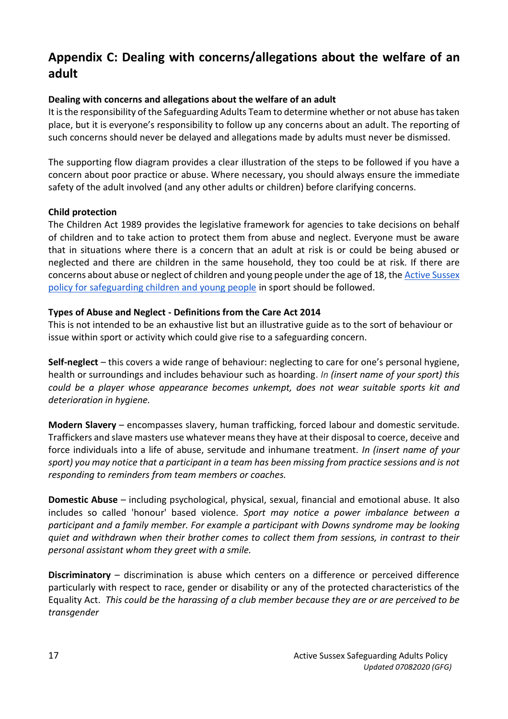# **Appendix C: Dealing with concerns/allegations about the welfare of an adult**

#### **Dealing with concerns and allegations about the welfare of an adult**

It is the responsibility of the Safeguarding Adults Team to determine whether or not abuse has taken place, but it is everyone's responsibility to follow up any concerns about an adult. The reporting of such concerns should never be delayed and allegations made by adults must never be dismissed.

The supporting flow diagram provides a clear illustration of the steps to be followed if you have a concern about poor practice or abuse. Where necessary, you should always ensure the immediate safety of the adult involved (and any other adults or children) before clarifying concerns.

#### **Child protection**

The Children Act 1989 provides the legislative framework for agencies to take decisions on behalf of children and to take action to protect them from abuse and neglect. Everyone must be aware that in situations where there is a concern that an adult at risk is or could be being abused or neglected and there are children in the same household, they too could be at risk. If there are concerns about abuse or neglect of children and young people under the age of 18, the [Active Sussex](https://3lv6rf2bk1pt2bptnj1wkwpp-wpengine.netdna-ssl.com/wp-content/uploads/2018/02/Active-Sussex-Safeguarding-Policy-and-appendicies-FINAL-updated-26.01.18-2.pdf)  [policy for safeguarding children and young people](https://3lv6rf2bk1pt2bptnj1wkwpp-wpengine.netdna-ssl.com/wp-content/uploads/2018/02/Active-Sussex-Safeguarding-Policy-and-appendicies-FINAL-updated-26.01.18-2.pdf) in sport should be followed.

#### **Types of Abuse and Neglect - Definitions from the Care Act 2014**

This is not intended to be an exhaustive list but an illustrative guide as to the sort of behaviour or issue within sport or activity which could give rise to a safeguarding concern.

**Self-neglect** – this covers a wide range of behaviour: neglecting to care for one's personal hygiene, health or surroundings and includes behaviour such as hoarding. *In (insert name of your sport) this could be a player whose appearance becomes unkempt, does not wear suitable sports kit and deterioration in hygiene.*

**Modern Slavery** – encompasses slavery, human trafficking, forced labour and domestic servitude. Traffickers and slave masters use whatever means they have at their disposal to coerce, deceive and force individuals into a life of abuse, servitude and inhumane treatment. *In (insert name of your sport) you may notice that a participant in a team has been missing from practice sessions and is not responding to reminders from team members or coaches.*

**Domestic Abuse** – including psychological, physical, sexual, financial and emotional abuse. It also includes so called 'honour' based violence. *Sport may notice a power imbalance between a participant and a family member. For example a participant with Downs syndrome may be looking quiet and withdrawn when their brother comes to collect them from sessions, in contrast to their personal assistant whom they greet with a smile.*

**Discriminatory** – discrimination is abuse which centers on a difference or perceived difference particularly with respect to race, gender or disability or any of the protected characteristics of the Equality Act. *This could be the harassing of a club member because they are or are perceived to be transgender*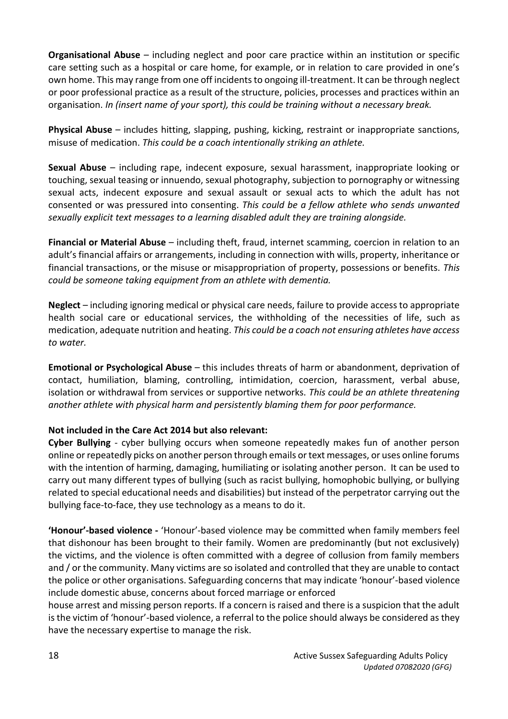**Organisational Abuse** – including neglect and poor care practice within an institution or specific care setting such as a hospital or care home, for example, or in relation to care provided in one's own home. This may range from one off incidents to ongoing ill-treatment. It can be through neglect or poor professional practice as a result of the structure, policies, processes and practices within an organisation. *In (insert name of your sport), this could be training without a necessary break.*

**Physical Abuse** – includes hitting, slapping, pushing, kicking, restraint or inappropriate sanctions, misuse of medication. *This could be a coach intentionally striking an athlete.*

**Sexual Abuse** – including rape, indecent exposure, sexual harassment, inappropriate looking or touching, sexual teasing or innuendo, sexual photography, subjection to pornography or witnessing sexual acts, indecent exposure and sexual assault or sexual acts to which the adult has not consented or was pressured into consenting. *This could be a fellow athlete who sends unwanted sexually explicit text messages to a learning disabled adult they are training alongside.*

**Financial or Material Abuse** – including theft, fraud, internet scamming, coercion in relation to an adult's financial affairs or arrangements, including in connection with wills, property, inheritance or financial transactions, or the misuse or misappropriation of property, possessions or benefits. *This could be someone taking equipment from an athlete with dementia.*

**Neglect** – including ignoring medical or physical care needs, failure to provide access to appropriate health social care or educational services, the withholding of the necessities of life, such as medication, adequate nutrition and heating. *This could be a coach not ensuring athletes have access to water.*

**Emotional or Psychological Abuse** – this includes threats of harm or abandonment, deprivation of contact, humiliation, blaming, controlling, intimidation, coercion, harassment, verbal abuse, isolation or withdrawal from services or supportive networks. *This could be an athlete threatening another athlete with physical harm and persistently blaming them for poor performance.*

#### **Not included in the Care Act 2014 but also relevant:**

**Cyber Bullying** - cyber bullying occurs when someone repeatedly makes fun of another person online or repeatedly picks on another person through emails or text messages, or uses online forums with the intention of harming, damaging, humiliating or isolating another person. It can be used to carry out many different types of bullying (such as racist bullying, homophobic bullying, or bullying related to special educational needs and disabilities) but instead of the perpetrator carrying out the bullying face-to-face, they use technology as a means to do it.

**'Honour'-based violence -** 'Honour'-based violence may be committed when family members feel that dishonour has been brought to their family. Women are predominantly (but not exclusively) the victims, and the violence is often committed with a degree of collusion from family members and / or the community. Many victims are so isolated and controlled that they are unable to contact the police or other organisations. Safeguarding concerns that may indicate 'honour'-based violence include domestic abuse, concerns about forced marriage or enforced

house arrest and missing person reports. If a concern is raised and there is a suspicion that the adult is the victim of 'honour'-based violence, a referral to the police should always be considered as they have the necessary expertise to manage the risk.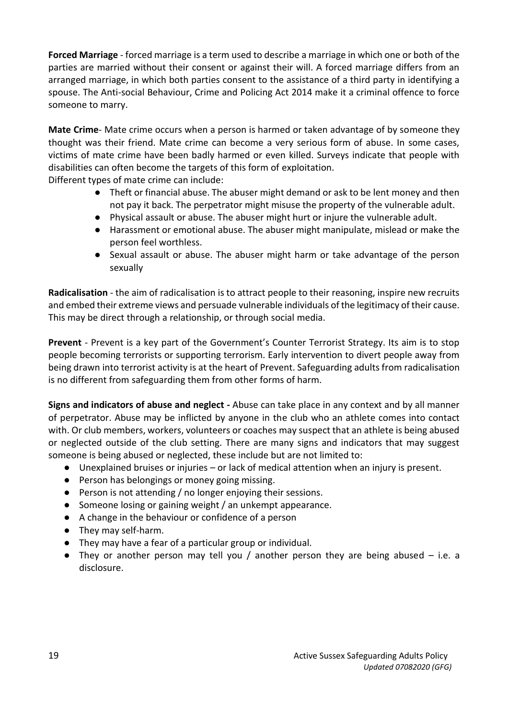**Forced Marriage** - forced marriage is a term used to describe a marriage in which one or both of the parties are married without their consent or against their will. A forced marriage differs from an arranged marriage, in which both parties consent to the assistance of a third party in identifying a spouse. The Anti-social Behaviour, Crime and Policing Act 2014 make it a criminal offence to force someone to marry.

**Mate Crime**- Mate crime occurs when a person is harmed or taken advantage of by someone they thought was their friend. Mate crime can become a very serious form of abuse. In some cases, victims of mate crime have been badly harmed or even killed. Surveys indicate that people with disabilities can often become the targets of this form of exploitation.

Different types of mate crime can include:

- Theft or financial abuse. The abuser might demand or ask to be lent money and then not pay it back. The perpetrator might misuse the property of the vulnerable adult.
- Physical assault or abuse. The abuser might hurt or injure the vulnerable adult.
- Harassment or emotional abuse. The abuser might manipulate, mislead or make the person feel worthless.
- Sexual assault or abuse. The abuser might harm or take advantage of the person sexually

**Radicalisation** - the aim of radicalisation is to attract people to their reasoning, inspire new recruits and embed their extreme views and persuade vulnerable individuals of the legitimacy of their cause. This may be direct through a relationship, or through social media.

**Prevent** - Prevent is a key part of the Government's Counter Terrorist Strategy. Its aim is to stop people becoming terrorists or supporting terrorism. Early intervention to divert people away from being drawn into terrorist activity is at the heart of Prevent. Safeguarding adults from radicalisation is no different from safeguarding them from other forms of harm.

**Signs and indicators of abuse and neglect -** Abuse can take place in any context and by all manner of perpetrator. Abuse may be inflicted by anyone in the club who an athlete comes into contact with. Or club members, workers, volunteers or coaches may suspect that an athlete is being abused or neglected outside of the club setting. There are many signs and indicators that may suggest someone is being abused or neglected, these include but are not limited to:

- Unexplained bruises or injuries or lack of medical attention when an injury is present.
- Person has belongings or money going missing.
- Person is not attending / no longer enjoying their sessions.
- Someone losing or gaining weight / an unkempt appearance.
- A change in the behaviour or confidence of a person
- They may self-harm.
- They may have a fear of a particular group or individual.
- They or another person may tell you / another person they are being abused i.e. a disclosure.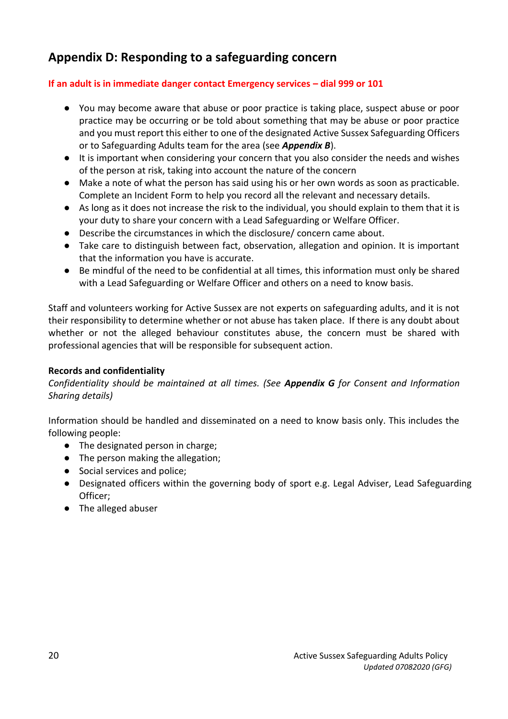### **Appendix D: Responding to a safeguarding concern**

#### **If an adult is in immediate danger contact Emergency services – dial 999 or 101**

- You may become aware that abuse or poor practice is taking place, suspect abuse or poor practice may be occurring or be told about something that may be abuse or poor practice and you must report this either to one of the designated Active Sussex Safeguarding Officers or to Safeguarding Adults team for the area (see *Appendix B*).
- It is important when considering your concern that you also consider the needs and wishes of the person at risk, taking into account the nature of the concern
- Make a note of what the person has said using his or her own words as soon as practicable. Complete an Incident Form to help you record all the relevant and necessary details.
- As long as it does not increase the risk to the individual, you should explain to them that it is your duty to share your concern with a Lead Safeguarding or Welfare Officer.
- Describe the circumstances in which the disclosure/ concern came about.
- Take care to distinguish between fact, observation, allegation and opinion. It is important that the information you have is accurate.
- Be mindful of the need to be confidential at all times, this information must only be shared with a Lead Safeguarding or Welfare Officer and others on a need to know basis.

Staff and volunteers working for Active Sussex are not experts on safeguarding adults, and it is not their responsibility to determine whether or not abuse has taken place. If there is any doubt about whether or not the alleged behaviour constitutes abuse, the concern must be shared with professional agencies that will be responsible for subsequent action.

#### **Records and confidentiality**

*Confidentiality should be maintained at all times. (See Appendix G for Consent and Information Sharing details)*

Information should be handled and disseminated on a need to know basis only. This includes the following people:

- The designated person in charge;
- The person making the allegation;
- Social services and police;
- Designated officers within the governing body of sport e.g. Legal Adviser, Lead Safeguarding Officer;
- The alleged abuser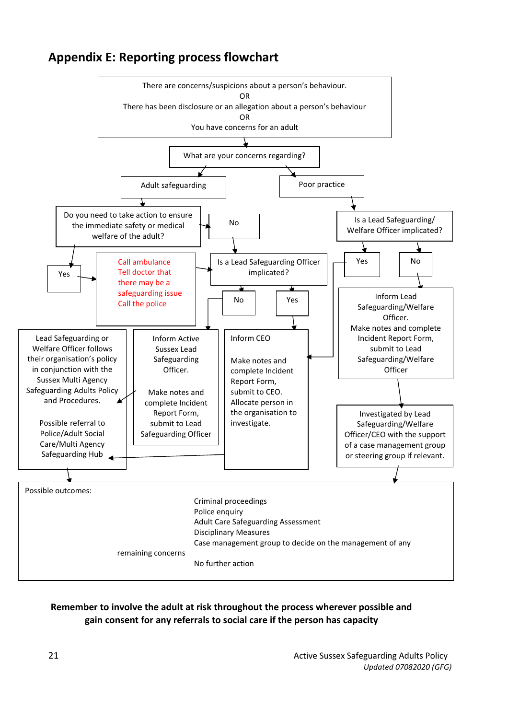

### **Appendix E: Reporting process flowchart**

#### **Remember to involve the adult at risk throughout the process wherever possible and gain consent for any referrals to social care if the person has capacity**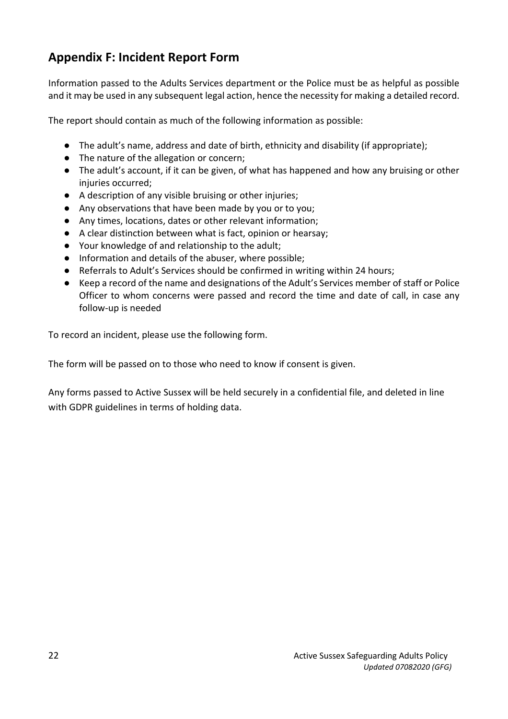## **Appendix F: Incident Report Form**

Information passed to the Adults Services department or the Police must be as helpful as possible and it may be used in any subsequent legal action, hence the necessity for making a detailed record.

The report should contain as much of the following information as possible:

- The adult's name, address and date of birth, ethnicity and disability (if appropriate);
- The nature of the allegation or concern;
- The adult's account, if it can be given, of what has happened and how any bruising or other injuries occurred;
- A description of any visible bruising or other injuries;
- Any observations that have been made by you or to you;
- Any times, locations, dates or other relevant information;
- A clear distinction between what is fact, opinion or hearsay;
- Your knowledge of and relationship to the adult;
- Information and details of the abuser, where possible;
- Referrals to Adult's Services should be confirmed in writing within 24 hours;
- Keep a record of the name and designations of the Adult's Services member of staff or Police Officer to whom concerns were passed and record the time and date of call, in case any follow-up is needed

To record an incident, please use the following form.

The form will be passed on to those who need to know if consent is given.

Any forms passed to Active Sussex will be held securely in a confidential file, and deleted in line with GDPR guidelines in terms of holding data.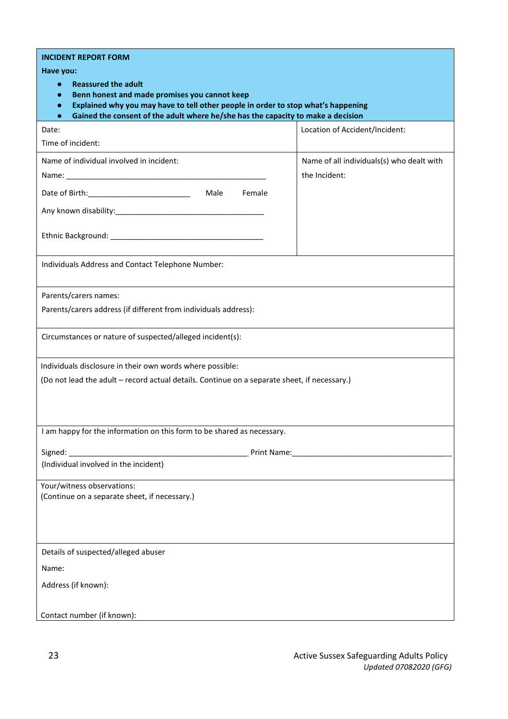| <b>INCIDENT REPORT FORM</b>                                                                           |                                                                                                               |  |  |  |
|-------------------------------------------------------------------------------------------------------|---------------------------------------------------------------------------------------------------------------|--|--|--|
| Have you:                                                                                             |                                                                                                               |  |  |  |
| <b>Reassured the adult</b><br>$\bullet$<br>Benn honest and made promises you cannot keep<br>$\bullet$ |                                                                                                               |  |  |  |
| Explained why you may have to tell other people in order to stop what's happening<br>$\bullet$        |                                                                                                               |  |  |  |
| Gained the consent of the adult where he/she has the capacity to make a decision<br>$\bullet$         |                                                                                                               |  |  |  |
| Date:                                                                                                 | Location of Accident/Incident:                                                                                |  |  |  |
| Time of incident:                                                                                     |                                                                                                               |  |  |  |
| Name of individual involved in incident:                                                              | Name of all individuals(s) who dealt with                                                                     |  |  |  |
|                                                                                                       | the Incident:                                                                                                 |  |  |  |
| Male<br>Female                                                                                        |                                                                                                               |  |  |  |
|                                                                                                       |                                                                                                               |  |  |  |
|                                                                                                       |                                                                                                               |  |  |  |
|                                                                                                       |                                                                                                               |  |  |  |
| Individuals Address and Contact Telephone Number:                                                     |                                                                                                               |  |  |  |
|                                                                                                       |                                                                                                               |  |  |  |
| Parents/carers names:                                                                                 |                                                                                                               |  |  |  |
| Parents/carers address (if different from individuals address):                                       |                                                                                                               |  |  |  |
|                                                                                                       |                                                                                                               |  |  |  |
| Circumstances or nature of suspected/alleged incident(s):                                             |                                                                                                               |  |  |  |
|                                                                                                       |                                                                                                               |  |  |  |
| Individuals disclosure in their own words where possible:                                             |                                                                                                               |  |  |  |
| (Do not lead the adult - record actual details. Continue on a separate sheet, if necessary.)          |                                                                                                               |  |  |  |
|                                                                                                       |                                                                                                               |  |  |  |
|                                                                                                       |                                                                                                               |  |  |  |
| I am happy for the information on this form to be shared as necessary.                                |                                                                                                               |  |  |  |
|                                                                                                       | Print Name: Manual Manual Manual Manual Manual Manual Manual Manual Manual Manual Manual Manual Manual Manual |  |  |  |
| (Individual involved in the incident)                                                                 |                                                                                                               |  |  |  |
|                                                                                                       |                                                                                                               |  |  |  |
| Your/witness observations:<br>(Continue on a separate sheet, if necessary.)                           |                                                                                                               |  |  |  |
|                                                                                                       |                                                                                                               |  |  |  |
|                                                                                                       |                                                                                                               |  |  |  |
|                                                                                                       |                                                                                                               |  |  |  |
| Details of suspected/alleged abuser                                                                   |                                                                                                               |  |  |  |
| Name:                                                                                                 |                                                                                                               |  |  |  |
| Address (if known):                                                                                   |                                                                                                               |  |  |  |
|                                                                                                       |                                                                                                               |  |  |  |
| Contact number (if known):                                                                            |                                                                                                               |  |  |  |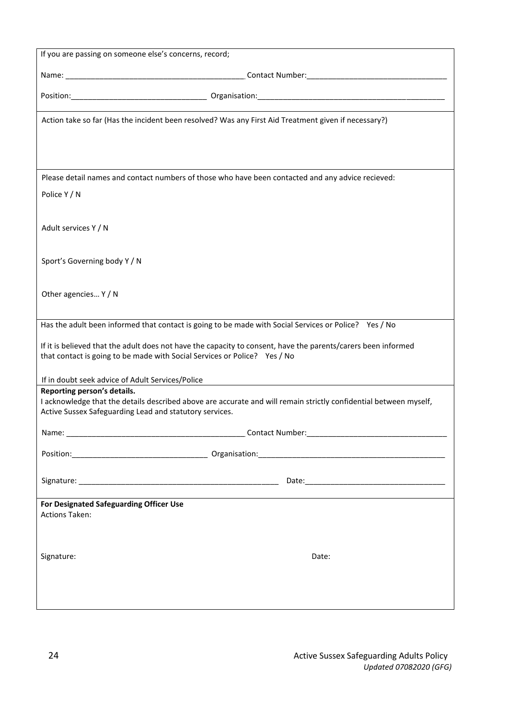| If you are passing on someone else's concerns, record;                                 |                                                                                                                                                                                            |  |  |  |
|----------------------------------------------------------------------------------------|--------------------------------------------------------------------------------------------------------------------------------------------------------------------------------------------|--|--|--|
|                                                                                        |                                                                                                                                                                                            |  |  |  |
|                                                                                        |                                                                                                                                                                                            |  |  |  |
|                                                                                        |                                                                                                                                                                                            |  |  |  |
|                                                                                        | Action take so far (Has the incident been resolved? Was any First Aid Treatment given if necessary?)                                                                                       |  |  |  |
|                                                                                        | Please detail names and contact numbers of those who have been contacted and any advice recieved:                                                                                          |  |  |  |
| Police Y / N                                                                           |                                                                                                                                                                                            |  |  |  |
| Adult services Y / N                                                                   |                                                                                                                                                                                            |  |  |  |
| Sport's Governing body Y / N                                                           |                                                                                                                                                                                            |  |  |  |
| Other agencies Y / N                                                                   |                                                                                                                                                                                            |  |  |  |
|                                                                                        | Has the adult been informed that contact is going to be made with Social Services or Police? Yes / No                                                                                      |  |  |  |
|                                                                                        | If it is believed that the adult does not have the capacity to consent, have the parents/carers been informed<br>that contact is going to be made with Social Services or Police? Yes / No |  |  |  |
| If in doubt seek advice of Adult Services/Police                                       |                                                                                                                                                                                            |  |  |  |
| Reporting person's details.<br>Active Sussex Safeguarding Lead and statutory services. | I acknowledge that the details described above are accurate and will remain strictly confidential between myself,                                                                          |  |  |  |
|                                                                                        |                                                                                                                                                                                            |  |  |  |
|                                                                                        |                                                                                                                                                                                            |  |  |  |
|                                                                                        |                                                                                                                                                                                            |  |  |  |
| For Designated Safeguarding Officer Use<br><b>Actions Taken:</b>                       |                                                                                                                                                                                            |  |  |  |
| Signature:                                                                             | Date:                                                                                                                                                                                      |  |  |  |
|                                                                                        |                                                                                                                                                                                            |  |  |  |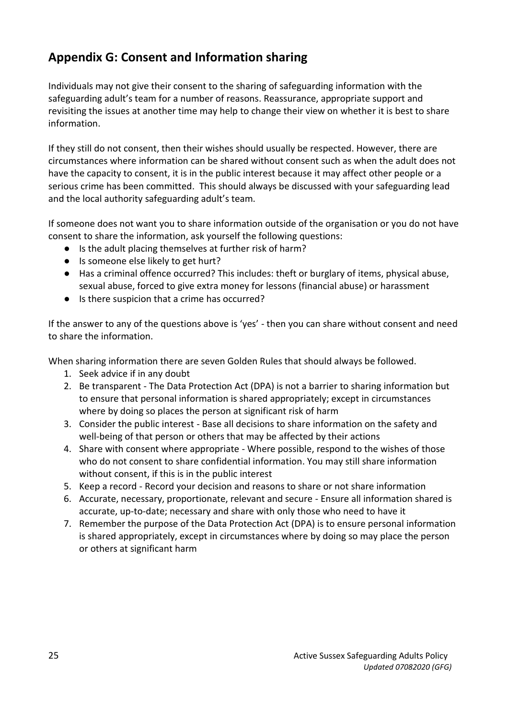## **Appendix G: Consent and Information sharing**

Individuals may not give their consent to the sharing of safeguarding information with the safeguarding adult's team for a number of reasons. Reassurance, appropriate support and revisiting the issues at another time may help to change their view on whether it is best to share information.

If they still do not consent, then their wishes should usually be respected. However, there are circumstances where information can be shared without consent such as when the adult does not have the capacity to consent, it is in the public interest because it may affect other people or a serious crime has been committed. This should always be discussed with your safeguarding lead and the local authority safeguarding adult's team.

If someone does not want you to share information outside of the organisation or you do not have consent to share the information, ask yourself the following questions:

- Is the adult placing themselves at further risk of harm?
- Is someone else likely to get hurt?
- Has a criminal offence occurred? This includes: theft or burglary of items, physical abuse, sexual abuse, forced to give extra money for lessons (financial abuse) or harassment
- Is there suspicion that a crime has occurred?

If the answer to any of the questions above is 'yes' - then you can share without consent and need to share the information.

When sharing information there are seven Golden Rules that should always be followed.

- 1. Seek advice if in any doubt
- 2. Be transparent The Data Protection Act (DPA) is not a barrier to sharing information but to ensure that personal information is shared appropriately; except in circumstances where by doing so places the person at significant risk of harm
- 3. Consider the public interest Base all decisions to share information on the safety and well-being of that person or others that may be affected by their actions
- 4. Share with consent where appropriate Where possible, respond to the wishes of those who do not consent to share confidential information. You may still share information without consent, if this is in the public interest
- 5. Keep a record Record your decision and reasons to share or not share information
- 6. Accurate, necessary, proportionate, relevant and secure Ensure all information shared is accurate, up-to-date; necessary and share with only those who need to have it
- 7. Remember the purpose of the Data Protection Act (DPA) is to ensure personal information is shared appropriately, except in circumstances where by doing so may place the person or others at significant harm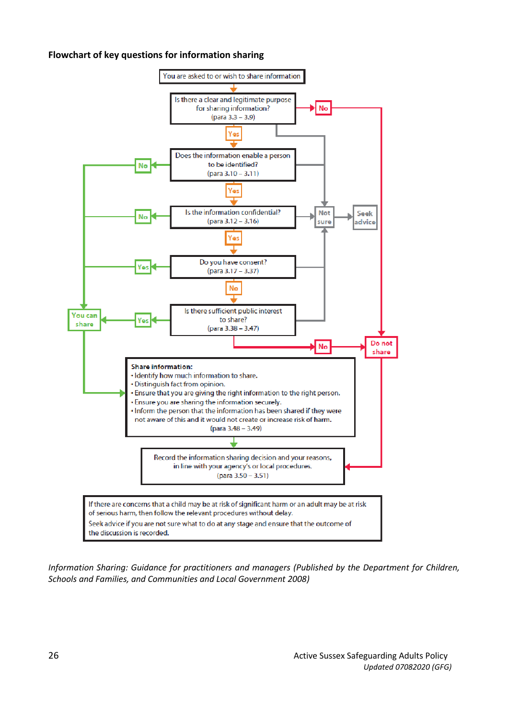#### **Flowchart of key questions for information sharing**



*Information Sharing: Guidance for practitioners and managers (Published by the Department for Children, Schools and Families, and Communities and Local Government 2008)*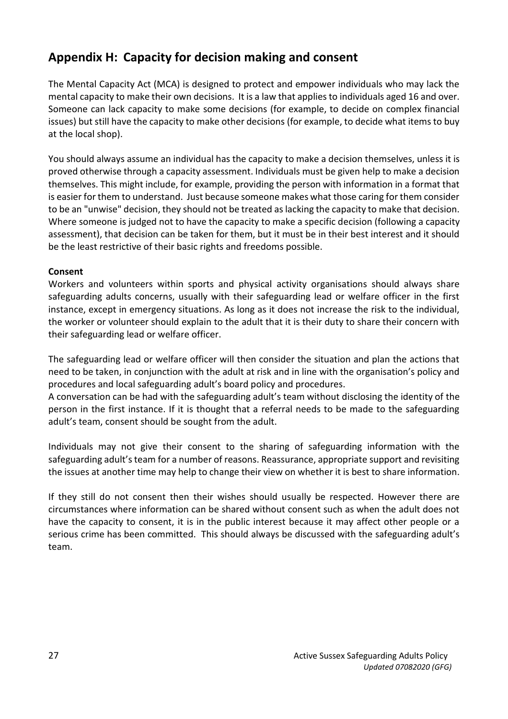### **Appendix H: Capacity for decision making and consent**

The Mental Capacity Act (MCA) is designed to protect and empower individuals who may lack the mental capacity to make their own decisions. It is a law that applies to individuals aged 16 and over. Someone can lack capacity to make some decisions (for example, to decide on complex financial issues) but still have the capacity to make other decisions (for example, to decide what items to buy at the local shop).

You should always assume an individual has the capacity to make a decision themselves, unless it is proved otherwise through a capacity assessment. Individuals must be given help to make a decision themselves. This might include, for example, providing the person with information in a format that is easier for them to understand. Just because someone makes what those caring for them consider to be an "unwise" decision, they should not be treated as lacking the capacity to make that decision. Where someone is judged not to have the capacity to make a specific decision (following a capacity assessment), that decision can be taken for them, but it must be in their best interest and it should be the least restrictive of their basic rights and freedoms possible.

#### **Consent**

Workers and volunteers within sports and physical activity organisations should always share safeguarding adults concerns, usually with their safeguarding lead or welfare officer in the first instance, except in emergency situations. As long as it does not increase the risk to the individual, the worker or volunteer should explain to the adult that it is their duty to share their concern with their safeguarding lead or welfare officer.

The safeguarding lead or welfare officer will then consider the situation and plan the actions that need to be taken, in conjunction with the adult at risk and in line with the organisation's policy and procedures and local safeguarding adult's board policy and procedures.

A conversation can be had with the safeguarding adult's team without disclosing the identity of the person in the first instance. If it is thought that a referral needs to be made to the safeguarding adult's team, consent should be sought from the adult.

Individuals may not give their consent to the sharing of safeguarding information with the safeguarding adult's team for a number of reasons. Reassurance, appropriate support and revisiting the issues at another time may help to change their view on whether it is best to share information.

If they still do not consent then their wishes should usually be respected. However there are circumstances where information can be shared without consent such as when the adult does not have the capacity to consent, it is in the public interest because it may affect other people or a serious crime has been committed. This should always be discussed with the safeguarding adult's team.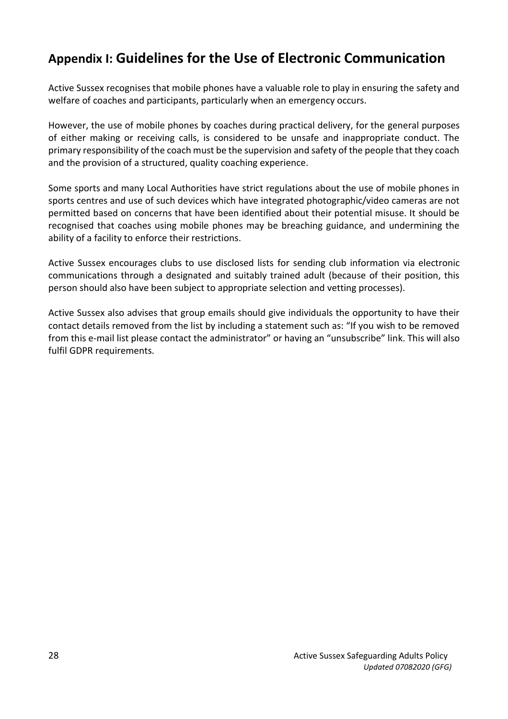# **Appendix I: Guidelines for the Use of Electronic Communication**

Active Sussex recognises that mobile phones have a valuable role to play in ensuring the safety and welfare of coaches and participants, particularly when an emergency occurs.

However, the use of mobile phones by coaches during practical delivery, for the general purposes of either making or receiving calls, is considered to be unsafe and inappropriate conduct. The primary responsibility of the coach must be the supervision and safety of the people that they coach and the provision of a structured, quality coaching experience.

Some sports and many Local Authorities have strict regulations about the use of mobile phones in sports centres and use of such devices which have integrated photographic/video cameras are not permitted based on concerns that have been identified about their potential misuse. It should be recognised that coaches using mobile phones may be breaching guidance, and undermining the ability of a facility to enforce their restrictions.

Active Sussex encourages clubs to use disclosed lists for sending club information via electronic communications through a designated and suitably trained adult (because of their position, this person should also have been subject to appropriate selection and vetting processes).

Active Sussex also advises that group emails should give individuals the opportunity to have their contact details removed from the list by including a statement such as: "If you wish to be removed from this e-mail list please contact the administrator" or having an "unsubscribe" link. This will also fulfil GDPR requirements.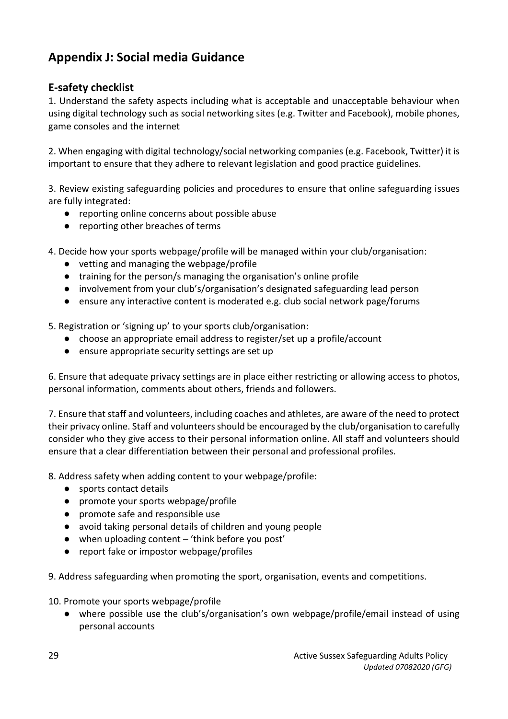# **Appendix J: Social media Guidance**

### **E-safety checklist**

1. Understand the safety aspects including what is acceptable and unacceptable behaviour when using digital technology such as social networking sites (e.g. Twitter and Facebook), mobile phones, game consoles and the internet

2. When engaging with digital technology/social networking companies (e.g. Facebook, Twitter) it is important to ensure that they adhere to relevant legislation and good practice guidelines.

3. Review existing safeguarding policies and procedures to ensure that online safeguarding issues are fully integrated:

- reporting online concerns about possible abuse
- reporting other breaches of terms

4. Decide how your sports webpage/profile will be managed within your club/organisation:

- vetting and managing the webpage/profile
- training for the person/s managing the organisation's online profile
- involvement from your club's/organisation's designated safeguarding lead person
- ensure any interactive content is moderated e.g. club social network page/forums

5. Registration or 'signing up' to your sports club/organisation:

- choose an appropriate email address to register/set up a profile/account
- ensure appropriate security settings are set up

6. Ensure that adequate privacy settings are in place either restricting or allowing access to photos, personal information, comments about others, friends and followers.

7. Ensure that staff and volunteers, including coaches and athletes, are aware of the need to protect their privacy online. Staff and volunteers should be encouraged by the club/organisation to carefully consider who they give access to their personal information online. All staff and volunteers should ensure that a clear differentiation between their personal and professional profiles.

8. Address safety when adding content to your webpage/profile:

- sports contact details
- promote your sports webpage/profile
- promote safe and responsible use
- avoid taking personal details of children and young people
- when uploading content 'think before you post'
- report fake or impostor webpage/profiles
- 9. Address safeguarding when promoting the sport, organisation, events and competitions.

10. Promote your sports webpage/profile

● where possible use the club's/organisation's own webpage/profile/email instead of using personal accounts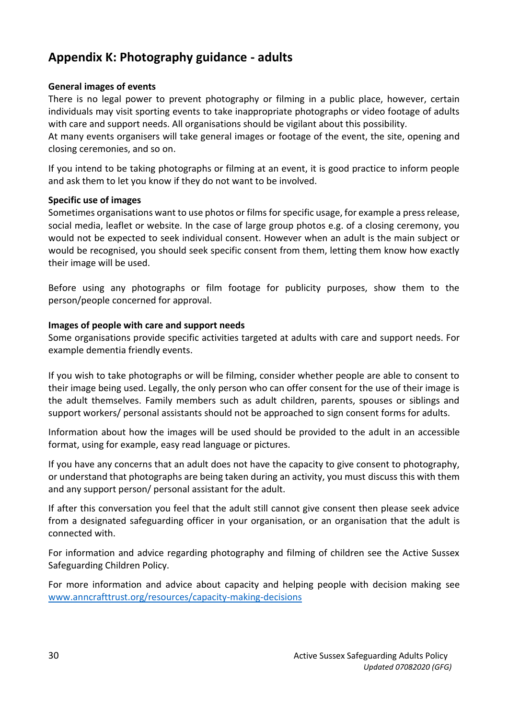### **Appendix K: Photography guidance - adults**

#### **General images of events**

There is no legal power to prevent photography or filming in a public place, however, certain individuals may visit sporting events to take inappropriate photographs or video footage of adults with care and support needs. All organisations should be vigilant about this possibility.

At many events organisers will take general images or footage of the event, the site, opening and closing ceremonies, and so on.

If you intend to be taking photographs or filming at an event, it is good practice to inform people and ask them to let you know if they do not want to be involved.

#### **Specific use of images**

Sometimes organisations want to use photos or films for specific usage, for example a press release, social media, leaflet or website. In the case of large group photos e.g. of a closing ceremony, you would not be expected to seek individual consent. However when an adult is the main subject or would be recognised, you should seek specific consent from them, letting them know how exactly their image will be used.

Before using any photographs or film footage for publicity purposes, show them to the person/people concerned for approval.

#### **Images of people with care and support needs**

Some organisations provide specific activities targeted at adults with care and support needs. For example dementia friendly events.

If you wish to take photographs or will be filming, consider whether people are able to consent to their image being used. Legally, the only person who can offer consent for the use of their image is the adult themselves. Family members such as adult children, parents, spouses or siblings and support workers/ personal assistants should not be approached to sign consent forms for adults.

Information about how the images will be used should be provided to the adult in an accessible format, using for example, easy read language or pictures.

If you have any concerns that an adult does not have the capacity to give consent to photography, or understand that photographs are being taken during an activity, you must discuss this with them and any support person/ personal assistant for the adult.

If after this conversation you feel that the adult still cannot give consent then please seek advice from a designated safeguarding officer in your organisation, or an organisation that the adult is connected with.

For information and advice regarding photography and filming of children see the Active Sussex Safeguarding Children Policy.

For more information and advice about capacity and helping people with decision making see [www.anncrafttrust.org/resources/capacity-making-decisions](http://www.anncrafttrust.org/resources/capacity-making-decisions)